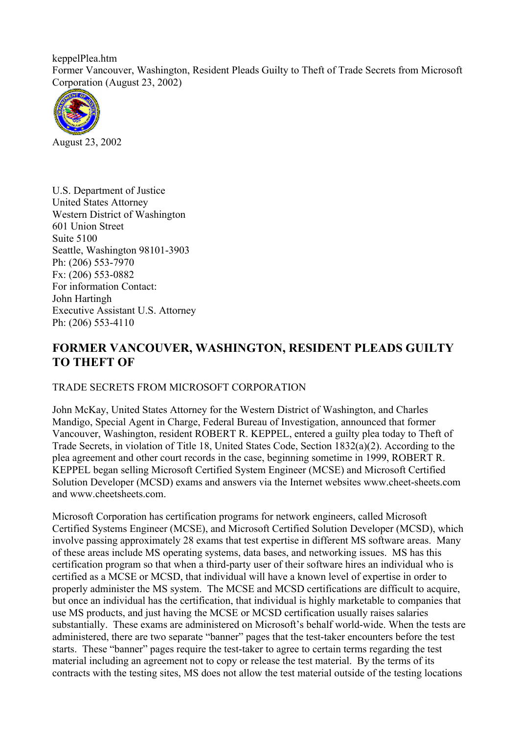keppelPlea.htm Former Vancouver, Washington, Resident Pleads Guilty to Theft of Trade Secrets from Microsoft Corporation (August 23, 2002)



August 23, 2002

U.S. Department of Justice United States Attorney Western District of Washington 601 Union Street Suite 5100 Seattle, Washington 98101-3903 Ph: (206) 553-7970 Fx: (206) 553-0882 For information Contact: John Hartingh Executive Assistant U.S. Attorney Ph: (206) 553-4110

## **FORMER VANCOUVER, WASHINGTON, RESIDENT PLEADS GUILTY TO THEFT OF**

## TRADE SECRETS FROM MICROSOFT CORPORATION

John McKay, United States Attorney for the Western District of Washington, and Charles Mandigo, Special Agent in Charge, Federal Bureau of Investigation, announced that former Vancouver, Washington, resident ROBERT R. KEPPEL, entered a guilty plea today to Theft of Trade Secrets, in violation of Title 18, United States Code, Section 1832(a)(2). According to the plea agreement and other court records in the case, beginning sometime in 1999, ROBERT R. KEPPEL began selling Microsoft Certified System Engineer (MCSE) and Microsoft Certified Solution Developer (MCSD) exams and answers via the Internet websites www.cheet-sheets.com and www.cheetsheets.com.

Microsoft Corporation has certification programs for network engineers, called Microsoft Certified Systems Engineer (MCSE), and Microsoft Certified Solution Developer (MCSD), which involve passing approximately 28 exams that test expertise in different MS software areas. Many of these areas include MS operating systems, data bases, and networking issues. MS has this certification program so that when a third-party user of their software hires an individual who is certified as a MCSE or MCSD, that individual will have a known level of expertise in order to properly administer the MS system. The MCSE and MCSD certifications are difficult to acquire, but once an individual has the certification, that individual is highly marketable to companies that use MS products, and just having the MCSE or MCSD certification usually raises salaries substantially. These exams are administered on Microsoft's behalf world-wide. When the tests are administered, there are two separate "banner" pages that the test-taker encounters before the test starts. These "banner" pages require the test-taker to agree to certain terms regarding the test material including an agreement not to copy or release the test material. By the terms of its contracts with the testing sites, MS does not allow the test material outside of the testing locations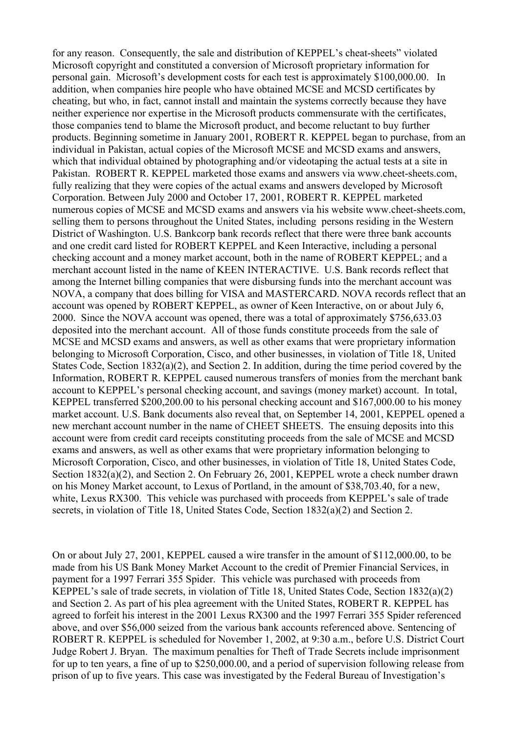for any reason. Consequently, the sale and distribution of KEPPEL's cheat-sheets" violated Microsoft copyright and constituted a conversion of Microsoft proprietary information for personal gain. Microsoft's development costs for each test is approximately \$100,000.00. In addition, when companies hire people who have obtained MCSE and MCSD certificates by cheating, but who, in fact, cannot install and maintain the systems correctly because they have neither experience nor expertise in the Microsoft products commensurate with the certificates, those companies tend to blame the Microsoft product, and become reluctant to buy further products. Beginning sometime in January 2001, ROBERT R. KEPPEL began to purchase, from an individual in Pakistan, actual copies of the Microsoft MCSE and MCSD exams and answers, which that individual obtained by photographing and/or videotaping the actual tests at a site in Pakistan. ROBERT R. KEPPEL marketed those exams and answers via www.cheet-sheets.com, fully realizing that they were copies of the actual exams and answers developed by Microsoft Corporation. Between July 2000 and October 17, 2001, ROBERT R. KEPPEL marketed numerous copies of MCSE and MCSD exams and answers via his website www.cheet-sheets.com, selling them to persons throughout the United States, including persons residing in the Western District of Washington. U.S. Bankcorp bank records reflect that there were three bank accounts and one credit card listed for ROBERT KEPPEL and Keen Interactive, including a personal checking account and a money market account, both in the name of ROBERT KEPPEL; and a merchant account listed in the name of KEEN INTERACTIVE. U.S. Bank records reflect that among the Internet billing companies that were disbursing funds into the merchant account was NOVA, a company that does billing for VISA and MASTERCARD. NOVA records reflect that an account was opened by ROBERT KEPPEL, as owner of Keen Interactive, on or about July 6, 2000. Since the NOVA account was opened, there was a total of approximately \$756,633.03 deposited into the merchant account. All of those funds constitute proceeds from the sale of MCSE and MCSD exams and answers, as well as other exams that were proprietary information belonging to Microsoft Corporation, Cisco, and other businesses, in violation of Title 18, United States Code, Section 1832(a)(2), and Section 2. In addition, during the time period covered by the Information, ROBERT R. KEPPEL caused numerous transfers of monies from the merchant bank account to KEPPEL's personal checking account, and savings (money market) account. In total, KEPPEL transferred \$200,200.00 to his personal checking account and \$167,000.00 to his money market account. U.S. Bank documents also reveal that, on September 14, 2001, KEPPEL opened a new merchant account number in the name of CHEET SHEETS. The ensuing deposits into this account were from credit card receipts constituting proceeds from the sale of MCSE and MCSD exams and answers, as well as other exams that were proprietary information belonging to Microsoft Corporation, Cisco, and other businesses, in violation of Title 18, United States Code, Section 1832(a)(2), and Section 2. On February 26, 2001, KEPPEL wrote a check number drawn on his Money Market account, to Lexus of Portland, in the amount of \$38,703.40, for a new, white, Lexus RX300. This vehicle was purchased with proceeds from KEPPEL's sale of trade secrets, in violation of Title 18, United States Code, Section 1832(a)(2) and Section 2.

On or about July 27, 2001, KEPPEL caused a wire transfer in the amount of \$112,000.00, to be made from his US Bank Money Market Account to the credit of Premier Financial Services, in payment for a 1997 Ferrari 355 Spider. This vehicle was purchased with proceeds from KEPPEL's sale of trade secrets, in violation of Title 18, United States Code, Section 1832(a)(2) and Section 2. As part of his plea agreement with the United States, ROBERT R. KEPPEL has agreed to forfeit his interest in the 2001 Lexus RX300 and the 1997 Ferrari 355 Spider referenced above, and over \$56,000 seized from the various bank accounts referenced above. Sentencing of ROBERT R. KEPPEL is scheduled for November 1, 2002, at 9:30 a.m., before U.S. District Court Judge Robert J. Bryan. The maximum penalties for Theft of Trade Secrets include imprisonment for up to ten years, a fine of up to \$250,000.00, and a period of supervision following release from prison of up to five years. This case was investigated by the Federal Bureau of Investigation's